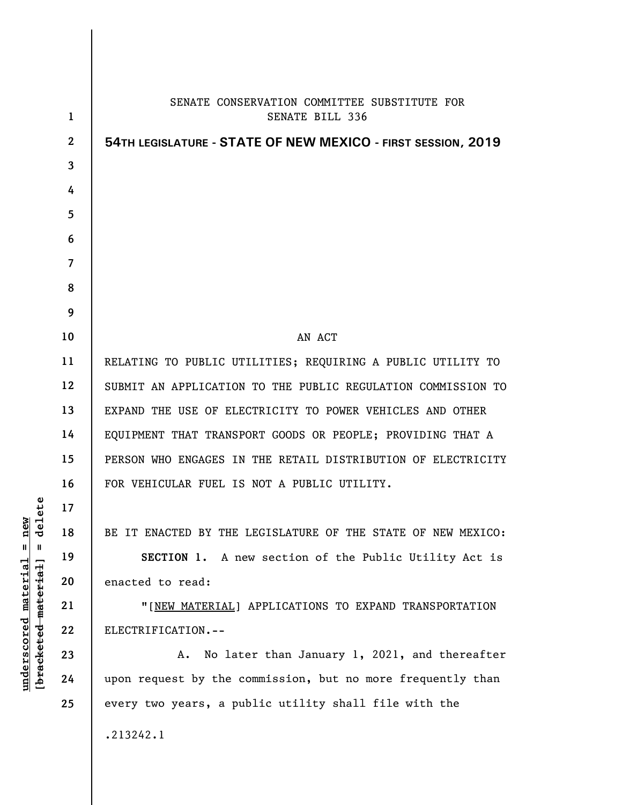|                | SENATE CONSERVATION COMMITTEE SUBSTITUTE FOR                 |
|----------------|--------------------------------------------------------------|
| $\mathbf{1}$   | <b>SENATE BILL 336</b>                                       |
| $\mathbf{2}$   | 54TH LEGISLATURE - STATE OF NEW MEXICO - FIRST SESSION, 2019 |
| 3              |                                                              |
| 4              |                                                              |
| 5              |                                                              |
| 6              |                                                              |
| $\overline{7}$ |                                                              |
| 8              |                                                              |
| 9              |                                                              |
| 10             | AN ACT                                                       |
| 11             | RELATING TO PUBLIC UTILITIES; REQUIRING A PUBLIC UTILITY TO  |
| 12             | SUBMIT AN APPLICATION TO THE PUBLIC REGULATION COMMISSION TO |
| 13             | EXPAND THE USE OF ELECTRICITY TO POWER VEHICLES AND OTHER    |
| 14             | EQUIPMENT THAT TRANSPORT GOODS OR PEOPLE; PROVIDING THAT A   |
| 15             | PERSON WHO ENGAGES IN THE RETAIL DISTRIBUTION OF ELECTRICITY |
| 16             | FOR VEHICULAR FUEL IS NOT A PUBLIC UTILITY.                  |
| 17             |                                                              |
| 18             | BE IT ENACTED BY THE LEGISLATURE OF THE STATE OF NEW MEXICO: |
| 19             | SECTION 1. A new section of the Public Utility Act is        |
| 20             | enacted to read:                                             |
| 21             | "[NEW MATERIAL] APPLICATIONS TO EXPAND TRANSPORTATION        |
| 22             | ELECTRIFICATION.--                                           |
| 23             | No later than January 1, 2021, and thereafter<br>Α.          |
| 24             | upon request by the commission, but no more frequently than  |
| 25             | every two years, a public utility shall file with the        |
|                | .213242.1                                                    |

 $[bracketeed-materiat] = delete$ **[bracketed material] = delete**  $underscored material = new$ **underscored material = new**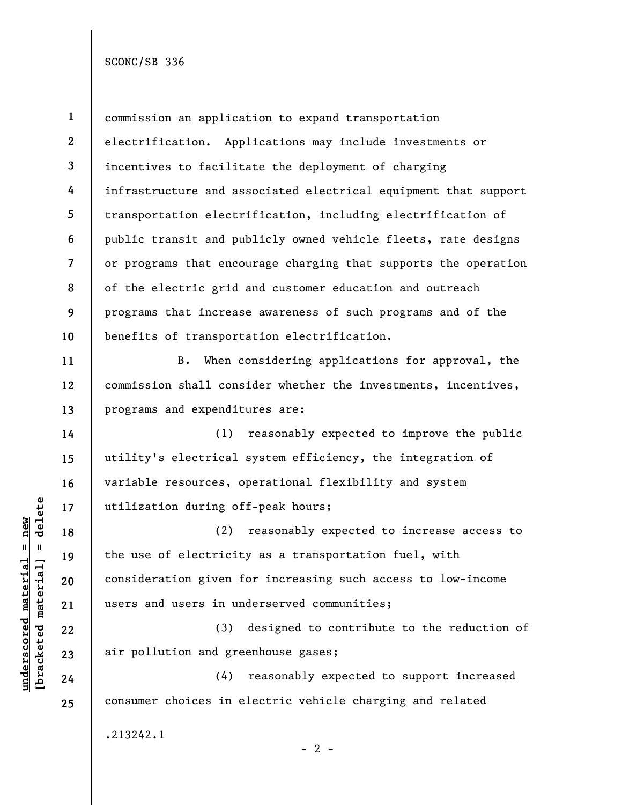SCONC/SB 336

| I<br>lew<br>١<br>ı<br>l |   |  |
|-------------------------|---|--|
| ۱<br>.                  | l |  |

**11** 

**12** 

**13** 

**14** 

**15** 

**16** 

**17** 

**18** 

**19** 

**20** 

**21** 

**22** 

**23** 

**24** 

**25** 

**1 2 3 4 5 6 7 8 9 10**  commission an application to expand transportation electrification. Applications may include investments or incentives to facilitate the deployment of charging infrastructure and associated electrical equipment that support transportation electrification, including electrification of public transit and publicly owned vehicle fleets, rate designs or programs that encourage charging that supports the operation of the electric grid and customer education and outreach programs that increase awareness of such programs and of the benefits of transportation electrification.

B. When considering applications for approval, the commission shall consider whether the investments, incentives, programs and expenditures are:

(1) reasonably expected to improve the public utility's electrical system efficiency, the integration of variable resources, operational flexibility and system utilization during off-peak hours;

(2) reasonably expected to increase access to the use of electricity as a transportation fuel, with consideration given for increasing such access to low-income users and users in underserved communities;

(3) designed to contribute to the reduction of air pollution and greenhouse gases;

(4) reasonably expected to support increased consumer choices in electric vehicle charging and related

.213242.1

 $- 2 -$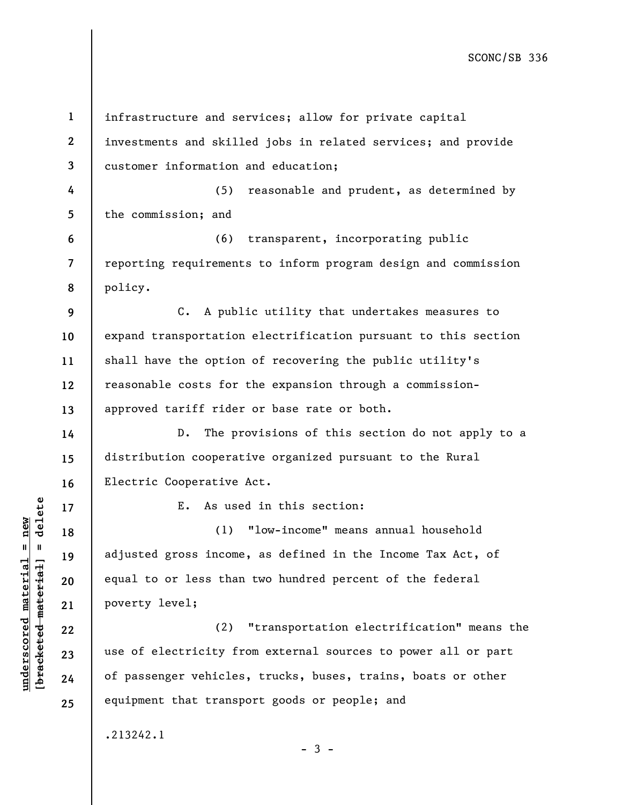SCONC/SB 336

**1 2 3 4 5 6 7 8 9 10 11 12 13 14 15 16 17 18 19 20 21 22 23 24 25**  infrastructure and services; allow for private capital investments and skilled jobs in related services; and provide customer information and education; (5) reasonable and prudent, as determined by the commission; and (6) transparent, incorporating public reporting requirements to inform program design and commission policy. C. A public utility that undertakes measures to expand transportation electrification pursuant to this section shall have the option of recovering the public utility's reasonable costs for the expansion through a commissionapproved tariff rider or base rate or both. D. The provisions of this section do not apply to a distribution cooperative organized pursuant to the Rural Electric Cooperative Act. E. As used in this section: (1) "low-income" means annual household adjusted gross income, as defined in the Income Tax Act, of equal to or less than two hundred percent of the federal poverty level; (2) "transportation electrification" means the use of electricity from external sources to power all or part of passenger vehicles, trucks, buses, trains, boats or other equipment that transport goods or people; and .213242.1  $-3 -$ 

**underscored material = new [bracketed material] = delete**

 $b$ racketed material] = delete  $underscored material = new$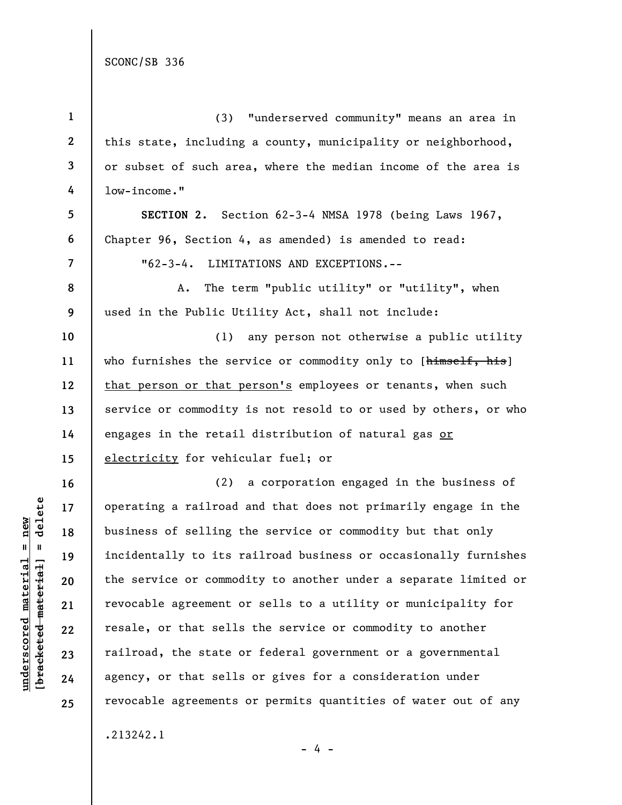SCONC/SB 336

| $\mathbf{1}$   | "underserved community" means an area in<br>(3)                 |
|----------------|-----------------------------------------------------------------|
| $\mathbf{2}$   | this state, including a county, municipality or neighborhood,   |
| 3              | or subset of such area, where the median income of the area is  |
| 4              | low-income."                                                    |
| 5              | SECTION 2. Section 62-3-4 NMSA 1978 (being Laws 1967,           |
| 6              | Chapter 96, Section 4, as amended) is amended to read:          |
| $\overline{7}$ | $"62-3-4.$<br>LIMITATIONS AND EXCEPTIONS.--                     |
| 8              | The term "public utility" or "utility", when<br>A.              |
| 9              | used in the Public Utility Act, shall not include:              |
| 10             | any person not otherwise a public utility<br>(1)                |
| 11             | who furnishes the service or commodity only to [himself, his]   |
| 12             | that person or that person's employees or tenants, when such    |
| 13             | service or commodity is not resold to or used by others, or who |
| 14             | engages in the retail distribution of natural gas or            |
| 15             | electricity for vehicular fuel; or                              |
| 16             | (2) a corporation engaged in the business of                    |
| 17             | operating a railroad and that does not primarily engage in the  |
| 18             | business of selling the service or commodity but that only      |
| 19             | incidentally to its railroad business or occasionally furnishes |
| 20             | the service or commodity to another under a separate limited or |
| 21             | revocable agreement or sells to a utility or municipality for   |
| 22             | resale, or that sells the service or commodity to another       |
| 23             | railroad, the state or federal government or a governmental     |
| 24             | agency, or that sells or gives for a consideration under        |
| 25             | revocable agreements or permits quantities of water out of any  |
|                | .213242.1                                                       |

 $\frac{\text{underscored material} = \text{new}}{(\text{bracketed material}) = \text{dev}}$ **[bracketed material] = delete underscored material = new**

 $- 4 -$